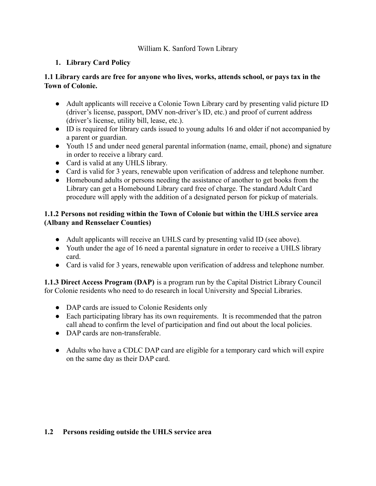### William K. Sanford Town Library

# **1. Library Card Policy**

### **1.1 Library cards are free for anyone who lives, works, attends school, or pays tax in the Town of Colonie.**

- Adult applicants will receive a Colonie Town Library card by presenting valid picture ID (driver's license, passport, DMV non-driver's ID, etc.) and proof of current address (driver's license, utility bill, lease, etc.).
- ID is required for library cards issued to young adults 16 and older if not accompanied by a parent or guardian.
- Youth 15 and under need general parental information (name, email, phone) and signature in order to receive a library card.
- Card is valid at any UHLS library.
- Card is valid for 3 years, renewable upon verification of address and telephone number.
- Homebound adults or persons needing the assistance of another to get books from the Library can get a Homebound Library card free of charge. The standard Adult Card procedure will apply with the addition of a designated person for pickup of materials.

### **1.1.2 Persons not residing within the Town of Colonie but within the UHLS service area (Albany and Rensselaer Counties)**

- Adult applicants will receive an UHLS card by presenting valid ID (see above).
- Youth under the age of 16 need a parental signature in order to receive a UHLS library card.
- Card is valid for 3 years, renewable upon verification of address and telephone number.

**1.1.3 Direct Access Program (DAP)** is a program run by the Capital District Library Council for Colonie residents who need to do research in local University and Special Libraries.

- DAP cards are issued to Colonie Residents only
- Each participating library has its own requirements. It is recommended that the patron call ahead to confirm the level of participation and find out about the local policies.
- DAP cards are non-transferable.
- Adults who have a CDLC DAP card are eligible for a temporary card which will expire on the same day as their DAP card.

# **1.2 Persons residing outside the UHLS service area**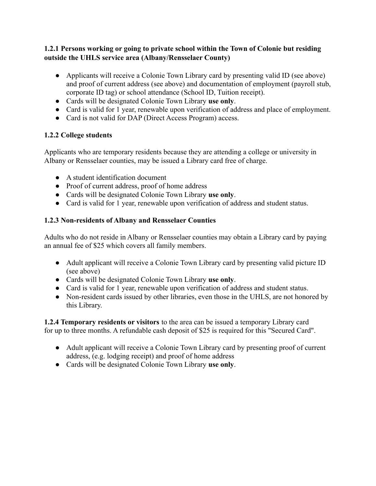### **1.2.1 Persons working or going to private school within the Town of Colonie but residing outside the UHLS service area (Albany/Rensselaer County)**

- Applicants will receive a Colonie Town Library card by presenting valid ID (see above) and proof of current address (see above) and documentation of employment (payroll stub, corporate ID tag) or school attendance (School ID, Tuition receipt).
- Cards will be designated Colonie Town Library **use only**.
- Card is valid for 1 year, renewable upon verification of address and place of employment.
- Card is not valid for DAP (Direct Access Program) access.

# **1.2.2 College students**

Applicants who are temporary residents because they are attending a college or university in Albany or Rensselaer counties, may be issued a Library card free of charge.

- A student identification document
- Proof of current address, proof of home address
- Cards will be designated Colonie Town Library **use only**.
- Card is valid for 1 year, renewable upon verification of address and student status.

### **1.2.3 Non-residents of Albany and Rensselaer Counties**

Adults who do not reside in Albany or Rensselaer counties may obtain a Library card by paying an annual fee of \$25 which covers all family members.

- Adult applicant will receive a Colonie Town Library card by presenting valid picture ID (see above)
- Cards will be designated Colonie Town Library **use only**.
- Card is valid for 1 year, renewable upon verification of address and student status.
- Non-resident cards issued by other libraries, even those in the UHLS, are not honored by this Library.

**1.2.4 Temporary residents or visitors** to the area can be issued a temporary Library card for up to three months. A refundable cash deposit of \$25 is required for this "Secured Card".

- Adult applicant will receive a Colonie Town Library card by presenting proof of current address, (e.g. lodging receipt) and proof of home address
- Cards will be designated Colonie Town Library **use only**.